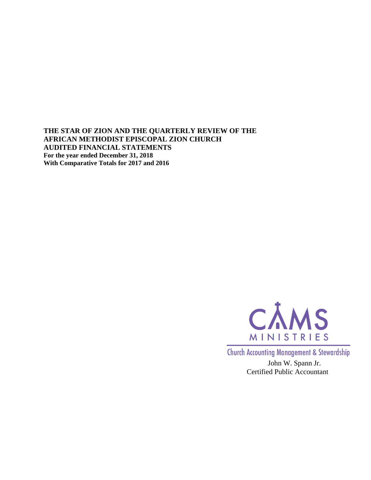**THE STAR OF ZION AND THE QUARTERLY REVIEW OF THE AFRICAN METHODIST EPISCOPAL ZION CHURCH AUDITED FINANCIAL STATEMENTS For the year ended December 31, 2018 With Comparative Totals for 2017 and 2016**



**Church Accounting Management & Stewardship** 

John W. Spann Jr. Certified Public Accountant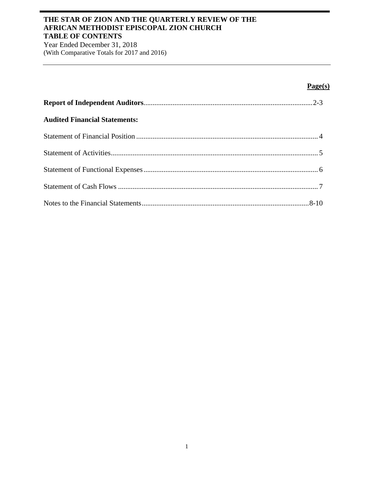## **THE STAR OF ZION AND THE QUARTERLY REVIEW OF THE AFRICAN METHODIST EPISCOPAL ZION CHURCH TABLE OF CONTENTS**

Year Ended December 31, 2018 (With Comparative Totals for 2017 and 2016)

# **Page(s)**

| <b>Audited Financial Statements:</b> |  |
|--------------------------------------|--|
|                                      |  |
|                                      |  |
|                                      |  |
|                                      |  |
|                                      |  |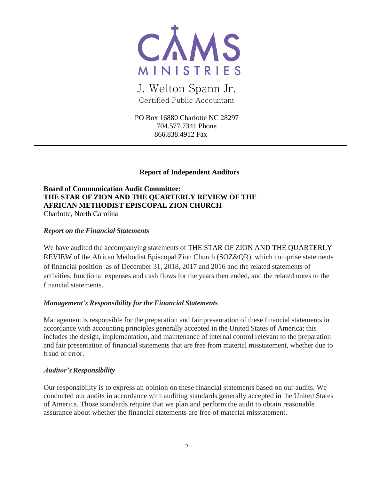

# J. Welton Spann Jr. Certified Public Accountant

PO Box 16880 Charlotte NC 28297 704.577.7341 Phone 866.838.4912 Fax

### **Report of Independent Auditors**

**Board of Communication Audit Committee: THE STAR OF ZION AND THE QUARTERLY REVIEW OF THE AFRICAN METHODIST EPISCOPAL ZION CHURCH** Charlotte, North Carolina

#### *Report on the Financial Statements*

We have audited the accompanying statements of THE STAR OF ZION AND THE QUARTERLY REVIEW of the African Methodist Episcopal Zion Church (SOZ&QR), which comprise statements of financial position as of December 31, 2018, 2017 and 2016 and the related statements of activities, functional expenses and cash flows for the years then ended, and the related notes to the financial statements.

## *Management's Responsibility for the Financial Statements*

Management is responsible for the preparation and fair presentation of these financial statements in accordance with accounting principles generally accepted in the United States of America; this includes the design, implementation, and maintenance of internal control relevant to the preparation and fair presentation of financial statements that are free from material misstatement, whether due to fraud or error.

#### *Auditor'sResponsibility*

Our responsibility is to express an opinion on these financial statements based on our audits. We conducted our audits in accordance with auditing standards generally accepted in the United States of America. Those standards require that we plan and perform the audit to obtain reasonable assurance about whether the financial statements are free of material misstatement.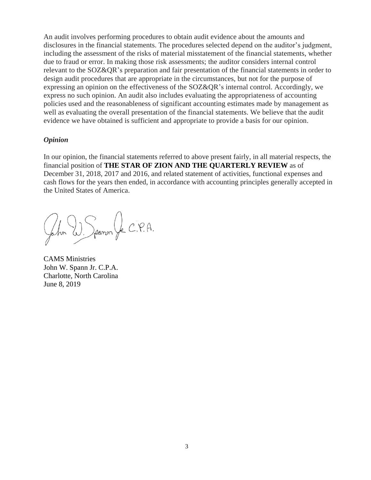An audit involves performing procedures to obtain audit evidence about the amounts and disclosures in the financial statements. The procedures selected depend on the auditor's judgment, including the assessment of the risks of material misstatement of the financial statements, whether due to fraud or error. In making those risk assessments; the auditor considers internal control relevant to the SOZ&QR's preparation and fair presentation of the financial statements in order to design audit procedures that are appropriate in the circumstances, but not for the purpose of expressing an opinion on the effectiveness of the SOZ&QR's internal control. Accordingly, we express no such opinion. An audit also includes evaluating the appropriateness of accounting policies used and the reasonableness of significant accounting estimates made by management as well as evaluating the overall presentation of the financial statements. We believe that the audit evidence we have obtained is sufficient and appropriate to provide a basis for our opinion.

#### *Opinion*

In our opinion, the financial statements referred to above present fairly, in all material respects, the financial position of **THE STAR OF ZION AND THE QUARTERLY REVIEW** as of December 31, 2018, 2017 and 2016, and related statement of activities, functional expenses and cash flows for the years then ended, in accordance with accounting principles generally accepted in the United States of America.

John W. Spanon Jr. C.P.A.

CAMS Ministries John W. Spann Jr. C.P.A. Charlotte, North Carolina June 8, 2019